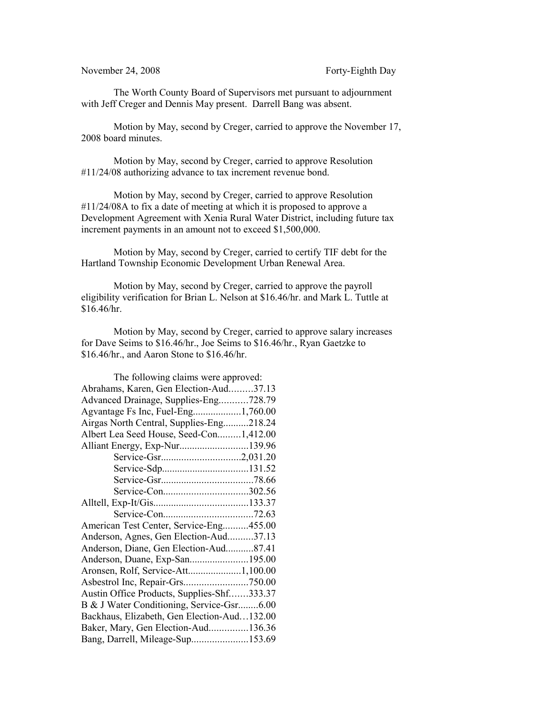November 24, 2008 Forty-Eighth Day

The Worth County Board of Supervisors met pursuant to adjournment with Jeff Creger and Dennis May present. Darrell Bang was absent.

Motion by May, second by Creger, carried to approve the November 17, 2008 board minutes.

Motion by May, second by Creger, carried to approve Resolution #11/24/08 authorizing advance to tax increment revenue bond.

Motion by May, second by Creger, carried to approve Resolution #11/24/08A to fix a date of meeting at which it is proposed to approve a Development Agreement with Xenia Rural Water District, including future tax increment payments in an amount not to exceed \$1,500,000.

Motion by May, second by Creger, carried to certify TIF debt for the Hartland Township Economic Development Urban Renewal Area.

Motion by May, second by Creger, carried to approve the payroll eligibility verification for Brian L. Nelson at \$16.46/hr. and Mark L. Tuttle at  $$16.46/hr.$ 

Motion by May, second by Creger, carried to approve salary increases for Dave Seims to \$16.46/hr., Joe Seims to \$16.46/hr., Ryan Gaetzke to \$16.46/hr., and Aaron Stone to \$16.46/hr.

| The following claims were approved:         |  |
|---------------------------------------------|--|
| Abrahams, Karen, Gen Election-Aud37.13      |  |
| Advanced Drainage, Supplies-Eng728.79       |  |
| Agvantage Fs Inc, Fuel-Eng1,760.00          |  |
| Airgas North Central, Supplies-Eng218.24    |  |
| Albert Lea Seed House, Seed-Con1,412.00     |  |
| Alliant Energy, Exp-Nur139.96               |  |
|                                             |  |
|                                             |  |
|                                             |  |
|                                             |  |
|                                             |  |
|                                             |  |
| American Test Center, Service-Eng455.00     |  |
| Anderson, Agnes, Gen Election-Aud37.13      |  |
| Anderson, Diane, Gen Election-Aud87.41      |  |
| Anderson, Duane, Exp-San195.00              |  |
| Aronsen, Rolf, Service-Att1,100.00          |  |
|                                             |  |
| Austin Office Products, Supplies-Shf333.37  |  |
| B & J Water Conditioning, Service-Gsr6.00   |  |
| Backhaus, Elizabeth, Gen Election-Aud132.00 |  |
| Baker, Mary, Gen Election-Aud136.36         |  |
| Bang, Darrell, Mileage-Sup153.69            |  |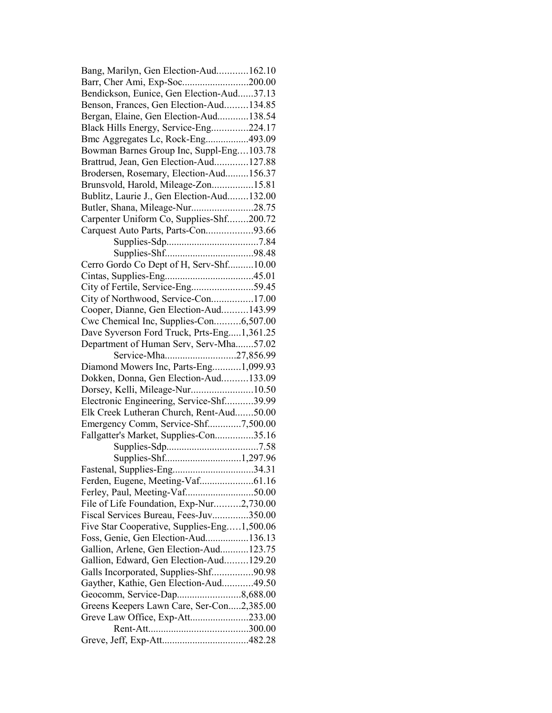| Bang, Marilyn, Gen Election-Aud162.10       |  |
|---------------------------------------------|--|
| Barr, Cher Ami, Exp-Soc200.00               |  |
| Bendickson, Eunice, Gen Election-Aud37.13   |  |
| Benson, Frances, Gen Election-Aud134.85     |  |
| Bergan, Elaine, Gen Election-Aud138.54      |  |
| Black Hills Energy, Service-Eng224.17       |  |
| Bmc Aggregates Lc, Rock-Eng493.09           |  |
| Bowman Barnes Group Inc, Suppl-Eng103.78    |  |
| Brattrud, Jean, Gen Election-Aud127.88      |  |
| Brodersen, Rosemary, Election-Aud156.37     |  |
| Brunsvold, Harold, Mileage-Zon15.81         |  |
| Bublitz, Laurie J., Gen Election-Aud132.00  |  |
| Butler, Shana, Mileage-Nur28.75             |  |
| Carpenter Uniform Co, Supplies-Shf200.72    |  |
| Carquest Auto Parts, Parts-Con93.66         |  |
|                                             |  |
|                                             |  |
| Cerro Gordo Co Dept of H, Serv-Shf10.00     |  |
|                                             |  |
| City of Fertile, Service-Eng59.45           |  |
| City of Northwood, Service-Con17.00         |  |
| Cooper, Dianne, Gen Election-Aud143.99      |  |
| Cwc Chemical Inc, Supplies-Con6,507.00      |  |
| Dave Syverson Ford Truck, Prts-Eng1,361.25  |  |
| Department of Human Serv, Serv-Mha57.02     |  |
| Service-Mha27,856.99                        |  |
| Diamond Mowers Inc, Parts-Eng1,099.93       |  |
| Dokken, Donna, Gen Election-Aud133.09       |  |
| Dorsey, Kelli, Mileage-Nur10.50             |  |
| Electronic Engineering, Service-Shf39.99    |  |
| Elk Creek Lutheran Church, Rent-Aud50.00    |  |
| Emergency Comm, Service-Shf7,500.00         |  |
| Fallgatter's Market, Supplies-Con35.16      |  |
|                                             |  |
|                                             |  |
| Fastenal, Supplies-Eng34.31                 |  |
| Ferden, Eugene, Meeting-Vaf61.16            |  |
| Ferley, Paul, Meeting-Vaf50.00              |  |
| File of Life Foundation, Exp-Nur2,730.00    |  |
| Fiscal Services Bureau, Fees-Juv350.00      |  |
| Five Star Cooperative, Supplies-Eng1,500.06 |  |
| Foss, Genie, Gen Election-Aud136.13         |  |
| Gallion, Arlene, Gen Election-Aud123.75     |  |
| Gallion, Edward, Gen Election-Aud129.20     |  |
| Galls Incorporated, Supplies-Shf90.98       |  |
| Gayther, Kathie, Gen Election-Aud49.50      |  |
| Geocomm, Service-Dap8,688.00                |  |
| Greens Keepers Lawn Care, Ser-Con2,385.00   |  |
| Greve Law Office, Exp-Att233.00             |  |
|                                             |  |
|                                             |  |
|                                             |  |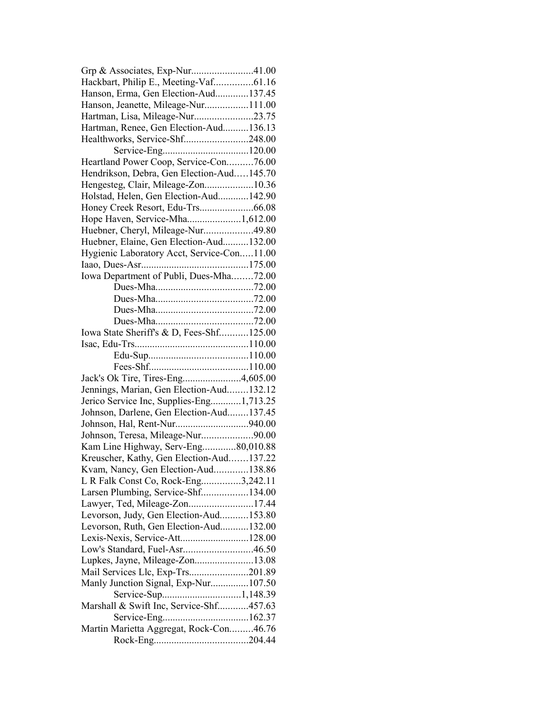| Grp & Associates, Exp-Nur41.00             |  |
|--------------------------------------------|--|
| Hackbart, Philip E., Meeting-Vaf61.16      |  |
| Hanson, Erma, Gen Election-Aud137.45       |  |
| Hanson, Jeanette, Mileage-Nur111.00        |  |
| Hartman, Lisa, Mileage-Nur23.75            |  |
| Hartman, Renee, Gen Election-Aud136.13     |  |
| Healthworks, Service-Shf248.00             |  |
|                                            |  |
| Heartland Power Coop, Service-Con76.00     |  |
| Hendrikson, Debra, Gen Election-Aud145.70  |  |
| Hengesteg, Clair, Mileage-Zon10.36         |  |
| Holstad, Helen, Gen Election-Aud142.90     |  |
|                                            |  |
| Hope Haven, Service-Mha1,612.00            |  |
| Huebner, Cheryl, Mileage-Nur49.80          |  |
| Huebner, Elaine, Gen Election-Aud132.00    |  |
| Hygienic Laboratory Acct, Service-Con11.00 |  |
|                                            |  |
| Iowa Department of Publi, Dues-Mha72.00    |  |
|                                            |  |
|                                            |  |
|                                            |  |
|                                            |  |
| Iowa State Sheriff's & D, Fees-Shf125.00   |  |
|                                            |  |
|                                            |  |
|                                            |  |
| Jack's Ok Tire, Tires-Eng4,605.00          |  |
| Jennings, Marian, Gen Election-Aud132.12   |  |
| Jerico Service Inc, Supplies-Eng1,713.25   |  |
| Johnson, Darlene, Gen Election-Aud137.45   |  |
|                                            |  |
| Johnson, Teresa, Mileage-Nur90.00          |  |
|                                            |  |
| Kam Line Highway, Serv-Eng80,010.88        |  |
| Kreuscher, Kathy, Gen Election-Aud137.22   |  |
| Kvam, Nancy, Gen Election-Aud138.86        |  |
| L R Falk Const Co, Rock-Eng3,242.11        |  |
| Larsen Plumbing, Service-Shf134.00         |  |
| Lawyer, Ted, Mileage-Zon17.44              |  |
| Levorson, Judy, Gen Election-Aud153.80     |  |
| Levorson, Ruth, Gen Election-Aud132.00     |  |
|                                            |  |
| Low's Standard, Fuel-Asr46.50              |  |
| Lupkes, Jayne, Mileage-Zon13.08            |  |
| Mail Services Llc, Exp-Trs201.89           |  |
| Manly Junction Signal, Exp-Nur107.50       |  |
|                                            |  |
| Marshall & Swift Inc, Service-Shf457.63    |  |
|                                            |  |
| Martin Marietta Aggregat, Rock-Con46.76    |  |
|                                            |  |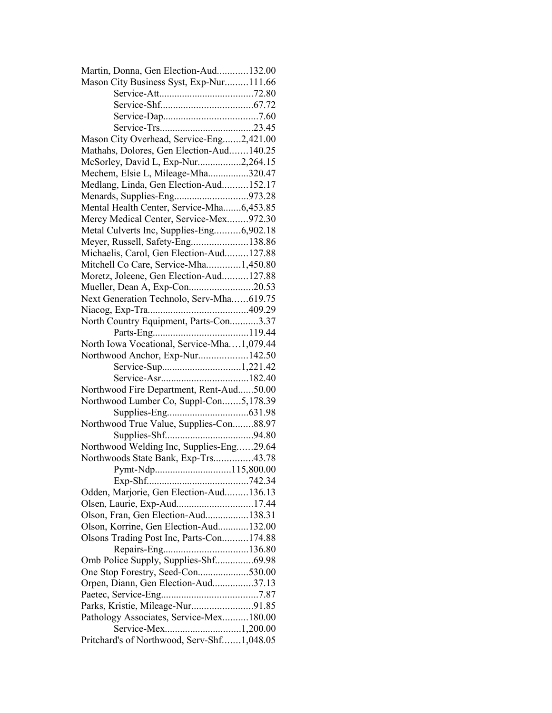| Martin, Donna, Gen Election-Aud132.00      |  |
|--------------------------------------------|--|
| Mason City Business Syst, Exp-Nur111.66    |  |
|                                            |  |
|                                            |  |
|                                            |  |
|                                            |  |
| Mason City Overhead, Service-Eng2,421.00   |  |
| Mathahs, Dolores, Gen Election-Aud140.25   |  |
| McSorley, David L, Exp-Nur2,264.15         |  |
| Mechem, Elsie L, Mileage-Mha320.47         |  |
| Medlang, Linda, Gen Election-Aud152.17     |  |
| Menards, Supplies-Eng973.28                |  |
| Mental Health Center, Service-Mha6,453.85  |  |
| Mercy Medical Center, Service-Mex972.30    |  |
| Metal Culverts Inc, Supplies-Eng6,902.18   |  |
| Meyer, Russell, Safety-Eng138.86           |  |
| Michaelis, Carol, Gen Election-Aud127.88   |  |
| Mitchell Co Care, Service-Mha1,450.80      |  |
| Moretz, Joleene, Gen Election-Aud127.88    |  |
| Mueller, Dean A, Exp-Con20.53              |  |
| Next Generation Technolo, Serv-Mha619.75   |  |
|                                            |  |
| North Country Equipment, Parts-Con3.37     |  |
|                                            |  |
| North Iowa Vocational, Service-Mha1,079.44 |  |
|                                            |  |
| Northwood Anchor, Exp-Nur142.50            |  |
|                                            |  |
|                                            |  |
| Northwood Fire Department, Rent-Aud50.00   |  |
| Northwood Lumber Co, Suppl-Con5,178.39     |  |
|                                            |  |
|                                            |  |
| Northwood True Value, Supplies-Con88.97    |  |
|                                            |  |
| Northwood Welding Inc, Supplies-Eng29.64   |  |
| Northwoods State Bank, Exp-Trs43.78        |  |
| Pymt-Ndp115,800.00                         |  |
|                                            |  |
| Odden, Marjorie, Gen Election-Aud136.13    |  |
| Olsen, Laurie, Exp-Aud17.44                |  |
| Olson, Fran, Gen Election-Aud138.31        |  |
| Olson, Korrine, Gen Election-Aud132.00     |  |
| Olsons Trading Post Inc, Parts-Con174.88   |  |
|                                            |  |
| Omb Police Supply, Supplies-Shf69.98       |  |
| One Stop Forestry, Seed-Con530.00          |  |
| Orpen, Diann, Gen Election-Aud37.13        |  |
|                                            |  |
| Parks, Kristie, Mileage-Nur91.85           |  |
| Pathology Associates, Service-Mex180.00    |  |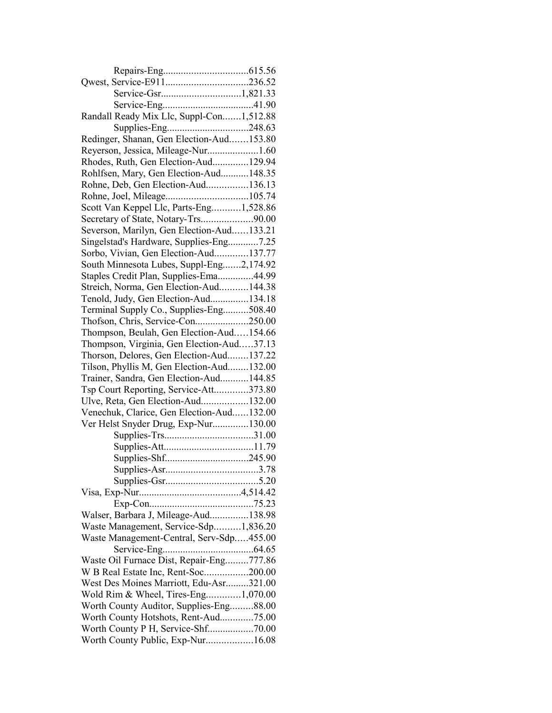| Randall Ready Mix Llc, Suppl-Con1,512.88                                        |  |
|---------------------------------------------------------------------------------|--|
|                                                                                 |  |
| Redinger, Shanan, Gen Election-Aud153.80                                        |  |
| Reyerson, Jessica, Mileage-Nur1.60                                              |  |
| Rhodes, Ruth, Gen Election-Aud129.94                                            |  |
| Rohlfsen, Mary, Gen Election-Aud148.35                                          |  |
| Rohne, Deb, Gen Election-Aud136.13                                              |  |
|                                                                                 |  |
| Scott Van Keppel Llc, Parts-Eng1,528.86                                         |  |
| Secretary of State, Notary-Trs90.00                                             |  |
| Severson, Marilyn, Gen Election-Aud133.21                                       |  |
| Singelstad's Hardware, Supplies-Eng7.25                                         |  |
| Sorbo, Vivian, Gen Election-Aud137.77                                           |  |
| South Minnesota Lubes, Suppl-Eng2,174.92                                        |  |
| Staples Credit Plan, Supplies-Ema44.99                                          |  |
| Streich, Norma, Gen Election-Aud144.38                                          |  |
|                                                                                 |  |
| Tenold, Judy, Gen Election-Aud134.18<br>Terminal Supply Co., Supplies-Eng508.40 |  |
|                                                                                 |  |
| Thofson, Chris, Service-Con250.00                                               |  |
| Thompson, Beulah, Gen Election-Aud154.66                                        |  |
| Thompson, Virginia, Gen Election-Aud37.13                                       |  |
| Thorson, Delores, Gen Election-Aud137.22                                        |  |
| Tilson, Phyllis M, Gen Election-Aud132.00                                       |  |
| Trainer, Sandra, Gen Election-Aud144.85                                         |  |
| Tsp Court Reporting, Service-Att373.80                                          |  |
| Ulve, Reta, Gen Election-Aud132.00                                              |  |
| Venechuk, Clarice, Gen Election-Aud132.00                                       |  |
| Ver Helst Snyder Drug, Exp-Nur130.00                                            |  |
|                                                                                 |  |
|                                                                                 |  |
|                                                                                 |  |
|                                                                                 |  |
|                                                                                 |  |
|                                                                                 |  |
|                                                                                 |  |
| Walser, Barbara J, Mileage-Aud138.98                                            |  |
| Waste Management, Service-Sdp1,836.20                                           |  |
| Waste Management-Central, Serv-Sdp455.00                                        |  |
|                                                                                 |  |
| Waste Oil Furnace Dist, Repair-Eng777.86                                        |  |
| W B Real Estate Inc, Rent-Soc200.00                                             |  |
| West Des Moines Marriott, Edu-Asr321.00                                         |  |
| Wold Rim & Wheel, Tires-Eng1,070.00                                             |  |
| Worth County Auditor, Supplies-Eng88.00                                         |  |
| Worth County Hotshots, Rent-Aud75.00                                            |  |
|                                                                                 |  |
| Worth County Public, Exp-Nur16.08                                               |  |
|                                                                                 |  |